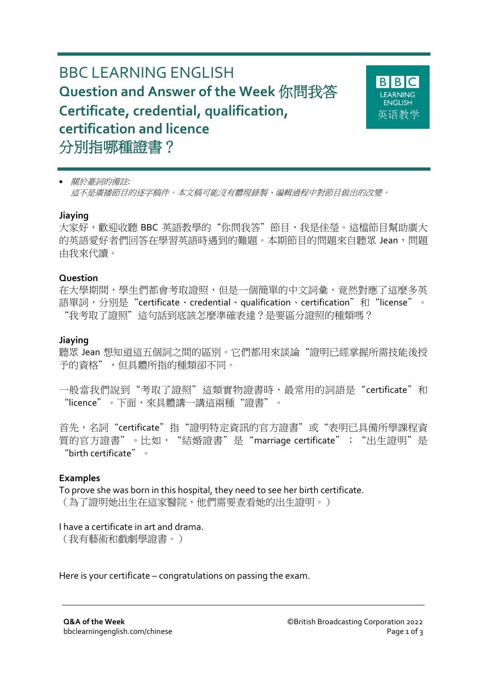# BBC LEARNING ENGLISH **Question and Answer of the Week** 你問我答 **Certificate, credential, qualification, certification and licence** 分別指哪種證書?



關於臺詞的備註*:*

這不是廣播節目的逐字稿件。本文稿可能沒有體現錄製、編輯過程中對節目做出的改變。

#### **Jiaying**

大家好,歡迎收聽 BBC 英語教學的"你問我答"節目,我是佳瑩。這檔節目幫助廣大 的英語愛好者們回答在學習英語時遇到的難題。本期節目的問題來自聽眾 Jean,問題 由我來代讀。

#### **Question**

在大學期間,學生們都會考取證照,但是一個簡單的中文詞彙,竟然對應了這麼多英 語單詞,分別是"certificate、credential、qualification、certification"和"license"。 "我考取了證照"這句話到底該怎麼準確表達?是要區分證照的種類嗎?

### **Jiaying**

聽眾 Jean 想知道這五個詞之間的區別。它們都用來談論"證明已經掌握所需技能後授 予的資格",但具體所指的種類卻不同。

一般當我們說到"考取了證照"這類實物證書時,最常用的詞語是"certificate"和 "licence"。下面,來具體講一講這兩種"證書"。

首先,名詞"certificate"指"證明特定資訊的官方證書"或"表明已具備所學課程資 質的官方證書"。比如, "結婚證書"是"marriage certificate"; "出生證明"是 "birth certificate"。

#### **Examples**

To prove she was born in this hospital, they need to see her birth certificate. (為了證明她出生在這家醫院,他們需要查看她的出生證明。)

I have a certificate in art and drama. (我有藝術和戲劇學證書。)

Here is your certificate – congratulations on passing the exam.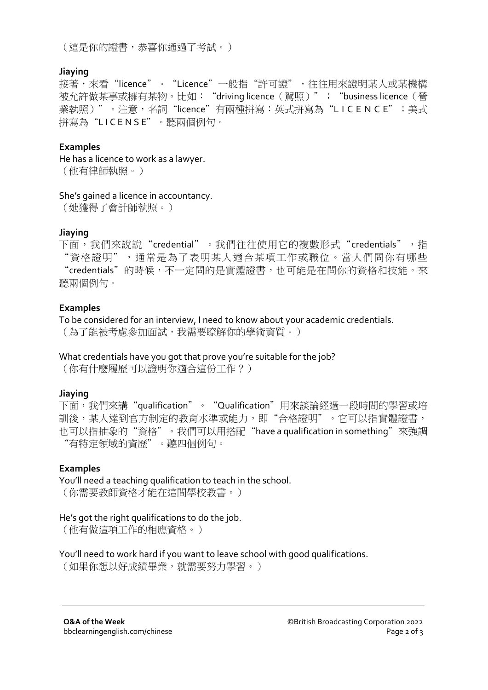(這是你的證書,恭喜你通過了考試。)

### **Jiaying**

接著,來看"licence"。"Licence"一般指"許可證",往往用來證明某人或某機構 被允許做某事或擁有某物。比如: "driving licence (駕照)"; "business licence (營 業執照)"。注意,名詞"licence"有兩種拼寫:英式拼寫為"LICENCE";美式 拼寫為"L I C E N S E"。聽兩個例句。

## **Examples**

He has a licence to work as a lawyer. (他有律師執照。)

#### She's gained a licence in accountancy.

(她獲得了會計師執照。)

## **Jiaying**

下面,我們來說說"credential"。我們往往使用它的複數形式"credentials",指 "資格證明",通常是為了表明某人適合某項工作或職位。當人們問你有哪些 "credentials"的時候,不一定問的是實體證書,也可能是在問你的資格和技能。來 聽兩個例句。

## **Examples**

To be considered for an interview, I need to know about your academic credentials. (為了能被考慮參加面試,我需要瞭解你的學術資質。)

What credentials have you got that prove you're suitable for the job?

(你有什麼履歷可以證明你適合這份工作?)

## **Jiaying**

下面,我們來講"qualification"。"Qualification"用來談論經過一段時間的學習或培 訓後,某人達到官方制定的教育水準或能力,即"合格證明"。它可以指實體證書, 也可以指抽象的"資格"。我們可以用搭配"have a qualification in something"來強調 "有特定領域的資歷"。聽四個例句。

## **Examples**

You'll need a teaching qualification to teach in the school. (你需要教師資格才能在這間學校教書。)

## He's got the right qualifications to do the job.

(他有做這項工作的相應資格。)

You'll need to work hard if you want to leave school with good qualifications.

(如果你想以好成績畢業,就需要努力學習。)